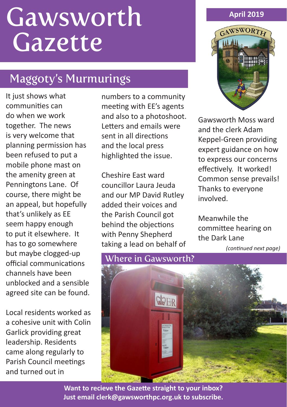# **Gawsworth** Gazette

# Maggoty's Murmurings

It just shows what communities can do when we work together. The news is very welcome that planning permission has been refused to put a mobile phone mast on the amenity green at Penningtons Lane. Of course, there might be an appeal, but hopefully that's unlikely as EE seem happy enough to put it elsewhere. It has to go somewhere but maybe clogged-up official communications channels have been unblocked and a sensible agreed site can be found.

Local residents worked as a cohesive unit with Colin Garlick providing great leadership. Residents came along regularly to Parish Council meetings and turned out in

numbers to a community meeting with EE's agents and also to a photoshoot. Letters and emails were sent in all directions and the local press highlighted the issue.

Cheshire East ward councillor Laura Jeuda and our MP David Rutley added their voices and the Parish Council got behind the objections with Penny Shepherd taking a lead on behalf of



Gawsworth Moss ward and the clerk Adam Keppel-Green providing expert guidance on how to express our concerns effectively. It worked! Common sense prevails! Thanks to everyone involved.

Meanwhile the committee hearing on the Dark Lane

*(continued next page)* 



**Want to recieve the Gazette straight to your inbox? Just email clerk@gawsworthpc.org.uk to subscribe.**

## **April 2019**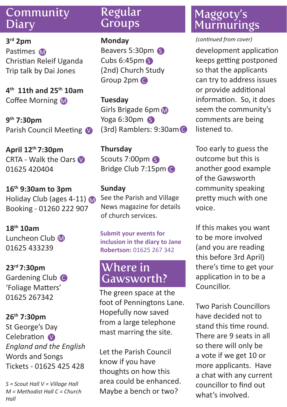# Community **Diary**

**3rd 2pm** Pastimes M Christian Releif Uganda Trip talk by Dai Jones

**4th 11th and 25th 10am** Coffee Morning M

**9th 7:30pm** Parish Council Meeting

**April 12th 7:30pm** CRTA - Walk the Oars 01625 420404

**16th 9:30am to 3pm** Holiday Club (ages 4-11) Booking - 01260 222 907

**18th 10am** Luncheon Club M 01625 433239

**23rd 7:30pm**  Gardening Club C 'Foliage Matters' 01625 267342

**26th 7:30pm** St George's Day Celebration **V** *England and the English* Words and Songs Tickets - 01625 425 428

*S = Scout Hall V = Village Hall M = Methodist Hall C = Church Hall* 

## Regular **Groups**

#### **Monday**

Beavers 5:30pm S Cubs 6:45pm S (2nd) Church Study Group 2pm C

**Tuesday**

Girls Brigade 6pm Yoga 6:30pm (3rd) Ramblers: 9:30am C

**Thursday** Scouts 7:00pm Bridge Club 7:15pm C

## **Sunday**

See the Parish and Village News magazine for details of church services.

**Submit your events for inclusion in the diary to Jane Robertson:** 01625 267 342

# Where in Gawsworth?

The green space at the foot of Penningtons Lane. Hopefully now saved from a large telephone mast marring the site.

Let the Parish Council know if you have thoughts on how this area could be enhanced. Maybe a bench or two?

# Maggoty's **Murmurings**

#### *(continued from cover)*

development application keeps getting postponed so that the applicants can try to address issues or provide additional information. So, it does seem the community's comments are being listened to.

Too early to guess the outcome but this is another good example of the Gawsworth community speaking pretty much with one voice.

If this makes you want to be more involved (and you are reading this before 3rd April) there's time to get your application in to be a Councillor.

Two Parish Councillors have decided not to stand this time round. There are 9 seats in all so there will only be a vote if we get 10 or more applicants. Have a chat with any current councillor to find out what's involved.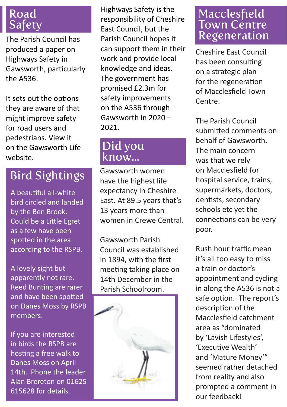# Road Safety

The Parish Council has produced a paper on Highways Safety in Gawsworth, particularly the A536.

It sets out the options they are aware of that might improve safety for road users and pedestrians. View it on the Gawsworth Life website.

# Bird Sightings

A beautiful all-white bird circled and landed by the Ben Brook. Could be a Little Egret as a few have been spotted in the area according to the RSPB.

A lovely sight but apparently not rare. Reed Bunting are rarer and have been spotted on Danes Moss by RSPB members.

If you are interested in birds the RSPB are hosting a free walk to Danes Moss on April 14th. Phone the leader Alan Brereton on 01625 615628 for details.

Highways Safety is the responsibility of Cheshire East Council, but the Parish Council hopes it can support them in their work and provide local knowledge and ideas. The government has promised £2.3m for safety improvements on the A536 through Gawsworth in 2020 – 2021.

# Did you know...

Gawsworth women have the highest life expectancy in Cheshire East. At 89.5 years that's 13 years more than women in Crewe Central.

Gawsworth Parish Council was established in 1894, with the first meeting taking place on 14th December in the Parish Schoolroom.



# **Macclesfield** Town Centre Regeneration

Cheshire East Council has been consulting on a strategic plan for the regeneration of Macclesfield Town Centre.

The Parish Council submitted comments on behalf of Gawsworth. The main concern was that we rely on Macclesfield for hospital service, trains, supermarkets, doctors, dentists, secondary schools etc yet the connections can be very poor.

Rush hour traffic mean it's all too easy to miss a train or doctor's appointment and cycling in along the A536 is not a safe option. The report's description of the Macclesfield catchment area as "dominated by 'Lavish Lifestyles', 'Executive Wealth' and 'Mature Money'" seemed rather detached from reality and also prompted a comment in our feedback!